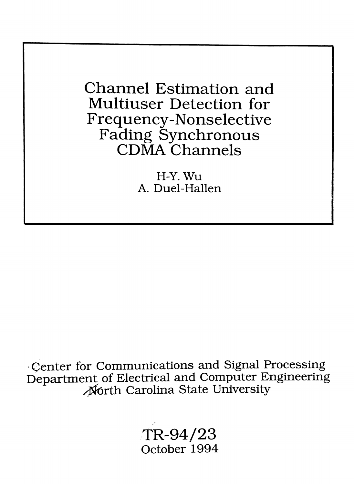Channel Estimation and Multiuser Detection for Frequency-Nonselective Fading Synchronous CDMA Channels

> H-Y.Wu A. Duel-Hallen

·Center for Communications and Signal Processing Department of Electrical and Computer Engineering<br>Morth Carolina State University

> *,TR-94j23* October 1994

y;!"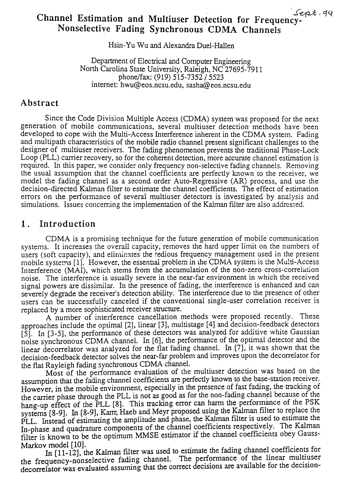# Channel Estimation and Multiuser Detection for Frequency-Nonselective Fading Synchronous CDMA Channels

Hsin-Yu Wu and Alexandra Duel-Hallen

Department of Electrical and Computer Engineering North Carolina State University, Raleigh, NC 27695-7911 phone/fax: (919) 515-7352/5523 internet: hwu@eos.ncsu.edu, sasha@eos.ncsu.edu

### Abstract

Since the Code Division Multiple Access (CDMA) system was proposed for the next generation of mobile communications, several multiuser detection methods have been developed to cope with the Multi-Access Interference inherent in the CDMA system. Fading and multipath characteristics of the mobile radio channel present significant challenges to the designer of multiuser receivers. The fading phenomenon prevents the traditional Phase-Lock Loop (PLL) carrier recovery, so for the coherent detection, more accurate channel estimation is required. In this paper, we consider only frequency non-selective fading channels. Removing the usual assumption that the channel coefficients are perfectly known to the receiver, we model the fading channel as a second order Auto-Regressive (AR) process, and use the decision-directed Kalman filter to estimate the channel coefficients. The effect of estimation errors on the performance of several multiuser detectors is investigated by analysis and simulations. Issues concerning the implementation of the Kalman filter are also addressed.

### 1. Introduction

CDMA is a promising technique for the future generation of mobile communication systems. It increases the overall capacity, removes the hard upper limit on the numbers of users (soft capacity), and eliminates the *tedious* frequency management used in the present mobile systems [1]. However, the essential problem in the CDMA system is the Multi-Access Interference (MAI), which stems from the accumulation of the non-zero cross-correlation noise. The interference is usually severe in the near-far environment in which the received signal powers are dissimilar. In the presence of fading, the interference is enhanced and can severely degrade the receiver's detection ability. The interference due to the presence of other users can be successfully canceled if the conventional single-user correlation receiver is replaced by a more sophisticated receiver structure.

A number of interference cancellation methods were proposed recently. These approaches include the optimal [2], linear [3], multistage [4] and decision-feedback detectors [5]. In [3-5], the performance of these detectors was analyzed for additive white Gaussian noise synchronous CDMA channel. In [6], the performance of the optimal detector and the linear decorrelator was analyzed for the flat fading channel. In [7], it was shown that the decision-feedback detector solves the near-far problem and improves upon the decorrelator for the flat Rayleigh fading synchronous CDMA channel.

Most of the performance evaluation of the multiuser detection was based on the assumption that the fading channel coefficients are perfectly known to the base-station receiver. However, in the mobile environment, especially in the presence of fast fading, the tracking of the carrier phase through the PLL is not as good as for the non-fading channel because of the hang-up effect of the PLL [8]. This tracking error can harm the performance of the PSK systems [8-9]. In [8-9], Karn, Haeb and Meyr proposed using the Kalman filter to replace the PLL. Instead of estimating the amplitude and phase, the Kalman filter is used to estimate the  $I_n$ -phase and quadrature components of the channel coefficients respectively. The Kalman filter is known to be the optimum MMSE estimator if the channel coefficients obey Gauss-

Markov model [10].<br>In [11-12], the Kalman filter was used to estimate the fading channel coefficients for<br>the frequency-nonselective fading channel. The performance of the linear multiuser decorrelator was evaluated assuming that the correct decisions are available for the decision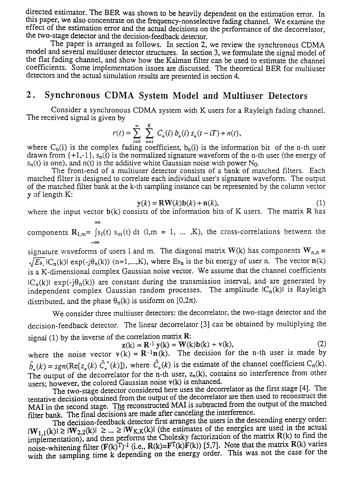directed estimator. The BER was shown to be heavily dependent on the estimation error. In this paper, we also concentrate on the frequency-nonselective fading channel. We examine the effect of the estimation error and the actual decisions on the performance of the decorrelator the two-stage detector and the decision-feedback detector.

The paper is arranged as follows. In section 2, we review the synchronous CDMA model and several multiuser detector structures. In section 3, we formulate the signal model of the flat fading channel, and show how the Kalman filter can be used to estimate the channel coefficients. Some implementation issues are discussed. The theoretical BER for multiuser detectors and the actual simulation results are presented in section 4.

## 2. Synchronous CDMA System Model and Multiuser Detectors

Consider a synchronous CDMA system with K users for a Rayleigh fading channel. The received signal is given by

$$
r(t) = \sum_{i=0}^{\infty} \sum_{n=1}^{K} C_n(i) b_n(i) s_n(t - iT) + n(t),
$$

where C<sub>n</sub>(i) is the complex fading coefficient,  $b_n(i)$  is the information bit of the n-th user drawn from  $\{+1,-1\}$ ,  $s_n(t)$  is the normalized signature waveform of the n-th user (the energy of  $s_n(t)$  is one), and  $n(t)$  is the additive white Gaussian noise with power N<sub>0</sub>.

The front-end of a multiuser detector consists of a bank of matched filters. Each matched filter is designed to correlate each individual user's signature waveform. The output of the matched filter bank at the k-th sampling instance can be represented by the column vector y of length K:

$$
\mathbf{y}(k) = \mathbf{R}\mathbf{W}(k)\mathbf{b}(k) + \mathbf{n}(k),\tag{1}
$$

where the input vector  $b(k)$  consists of the information bits of K users. The matrix R has  $\infty$ 

components  $R_{1,m}$ =  $\int s_1(t) s_m(t) dt$  (1,m = 1, ..., K), the cross-correlations between the -00

signature waveforms of users 1 and m. The diagonal matrix  $W(k)$  has components  $W_{n,n}$  =  $\sqrt{E_{\mathfrak{b}_n}}$  IC<sub>n</sub>(k)1 exp(-j $\theta_n(k)$ ) (n=1,...,K), where E<sub>bn</sub> is the bit energy of user n. The vector n(k) is a K-dimensional complex Gaussian noise vector. We assume that the channel coefficients  $|C_n(k)| \exp(-j\theta_n(k))$  are constant during the transmission interval, and are generated by independent complex Gaussian random processes. The amplitude  $|C_n(k)|$  is Rayleigh distributed, and the phase  $\theta_n(k)$  is uniform on [0,2 $\pi$ ).

We consider three multiuser detectors: the decorrelator, the two-stage detector and the decision-feedback detector. The linear decorrelator [3] can be obtained by multiplying the signal (1) by the inverse of the correlation matrix  $R$ :

$$
\mathbf{z}(k) = \mathbf{R}^{-1} \mathbf{y}(k) = \mathbf{W}(k)\mathbf{b}(k) + \mathbf{v}(k),\tag{2}
$$

where the noise vector  $v(k) = R^{-1}n(k)$ . The decision for the n-th user is made by  $\hat{b}_{n}(k) = sgn(\text{Re}[z_{n}(k) \hat{C}_{n}(k)])$ , where  $\hat{C}_{n}(k)$  is the estimate of the channel coefficient  $C_{n}(k)$ . n The output of the decorrelator for the n-th user,  $z_n(k)$ , contains no interference from other users; however, the colored Gaussian noise v(k) is enhanced.

The two-stage detector considered here uses the decorrelator as the first stage [4]. The tentative decisions obtained from the output of the decorrelator are then used to reconstruct the MAI in the second stage. The reconstructed MAI is subtracted from the output of the matched filter bank. The final decisions are made after canceling the interference.

The decision-feedback detector first arranges the users in the descending energy order:  $|W_{1,1}(k)| \ge |W_{2,2}(k)| \ge ... \ge |W_{K,K}(k)|$  (the estimates of the energies are used in the actual implementation), and then performs the Cholesky factorization of the matrix  $R(k)$  to find the noise-whitening filter  $(F(k)^T)^{-1}$  (i.e.,  $R(k)=F^T(k)F(k)$ ) [5,7]. Note that the matrix  $R(k)$  varies with the sampling time k depending on the energy order. This was not the case for the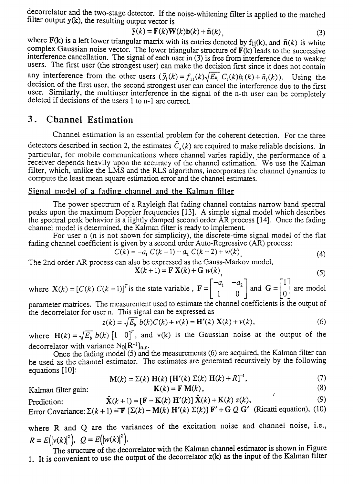decorrelator and the two-stage detector. If the noise-whitening filter is applied to the matched filter output  $y(k)$ , the resulting output vector is

$$
\tilde{\mathbf{y}}(k) = \mathbf{F}(k)\mathbf{W}(k)\mathbf{b}(k) + \tilde{\mathbf{n}}(k),
$$
\n(3)

where F(k) is a left lower triangular matrix with its entries denoted by f<sub>ij</sub>(k), and  $\tilde{\mathbf{n}}(k)$  is white complex Gaussian noise vector. The lower triangular structure of  $F(k)$  leads to the successive interference cancellation. The signal of each user in (3) is free from interference due to weaker users. The first user (the strongest user) can make the decision first since it does not contain any interference from the other users  $(\tilde{y}_1(k) = f_{11}(k)\sqrt{E_{b_1}} C_1(k)b_1(k) + \tilde{n}_1(k))$ . Using the decision of the first user, the second strongest user can cancel the interference due to the first user. Similarly, the multiuser interference in the signal of the n-th user can be completely deleted if decisions of the users 1 to n-1 are correct

## 3 . Channel Estimation

Channel estimation is an essential problem for the coherent detection. For the three detectors described in section 2, the estimates  $\hat{C}_n(k)$  are required to make reliable decisions. In particular, for mobile communications where channel varies rapidly, the performance of a receiver depends heavily upon the accuracy of the channel estimation. We use the Kalman filter, which, unlike the LMS and the RLS algorithms, incorporates the channel dynamics to compute the least mean square estimation error and the channel estimates.

#### Signal model of a fading channel and the Kalman filter

The power spectrum of a Rayleigh flat fading channel contains narrow band spectral peaks upon the maximum Doppler frequencies [13]. A simple signal model which describes the spectral peak behavior is a lightly damped second order AR process [14]. Once the fading channel model is determined, the Kalman filter is ready to implement

For user n (n is not shown for simplicity), the discrete-time signal model of the flat fading channel coefficient is given by a second order Auto-Regressive (AR) process:

$$
C(k) = -a_1 C(k-1) - a_2 C(k-2) + w(k)
$$
\n(4)

The 2nd order AR process can also be expressed as the Gauss-Markov model,

$$
\mathbf{X}(k+1) = \mathbf{F}\ \mathbf{X}(k) + \mathbf{G}\ w(k)\tag{5}
$$

where  $\mathbf{X}(k) = [C(k) C(k-1)]^T$  is the state variable,  $\mathbf{F} = \begin{bmatrix} -a_1 & -a_2 \\ 1 & 0 \end{bmatrix}$  and  $\mathbf{G} = \begin{bmatrix} 1 \\ 0 \end{bmatrix}$  are model

parameter matrices. The measurement used to estimate the channel coefficients is the output of the decorrelator for user n. This signal can be expressed as

$$
z(k) = \sqrt{E_b} b(k)C(k) + v(k) = H'(k) X(k) + v(k),
$$
 (6)

where  $H(k) = \sqrt{E_b} b(k) [1 \ 0]^T$ , and v(k) is the Gaussian noise at the output of the decorrelator with variance  $N_0[R^{-1}]_{n,n}$ .

Once the fading model  $(5)$  and the measurements  $(6)$  are acquired, the Kalman filter can be used as the channel estimator. The estimates are generated recursively by the following equations [10]:

$$
\mathbf{M}(k) = \Sigma(k) \mathbf{H}(k) [\mathbf{H}'(k) \Sigma(k) \mathbf{H}(k) + R]^{-1},
$$
 (7)

Kalman filter gain:  $K(k) = F M(k)$ , (8)

$$
\hat{\mathbf{X}}(k+1) = [\mathbf{F} - \mathbf{K}(k) \mathbf{H}'(k)] \hat{\mathbf{X}}(k) + \mathbf{K}(k) z(k),
$$
\n(9)

Error Covariance:  $\Sigma(k + 1) = \mathbf{F} [\Sigma(k) - \mathbf{M}(k) \mathbf{H}'(k) \Sigma(k)] \mathbf{F}' + \mathbf{G} \mathbf{Q} \mathbf{G}'$  (Ricatti equation), (10)

where R and Q are the variances of the excitation noise and channel noise, i.e.,  $R = E(|v(k)|^2)$ ,  $Q = E(|w(k)|^2)$ .<br>The structure of the decorrelator with the Kalman channel estimator is shown in Figure

1. It is convenient to use the output of the decorrelator  $z(k)$  as the input of the Kalman filter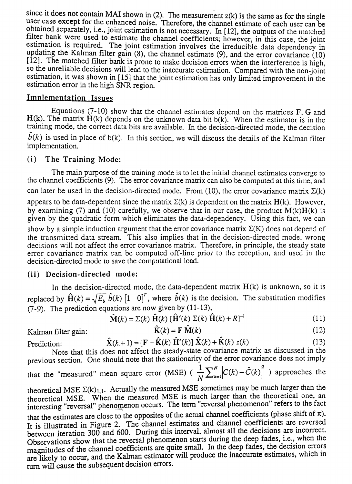since it does not contain MAI shown in (2). The measurement  $z(k)$  is the same as for the single user case except for the enhanced noise. Therefore, the channel estimate of each user can be obtained separately, i.e., joint estimation is not necessary. In [12], the outputs of the matched filter bank were used to estimate the channel coefficients; however, in this case, the joint estimation is required. The joint estimation involves the irreducible data dependency in updating the Kalman filter gain (8), the channel estimate (9), and the error covariance  $(10)$  $[12]$ . The matched filter bank is prone to make decision errors when the interference is high, so the unreliable decisions will lead to the inaccurate estimation. Compared with the non-joint estimation, it was shown in [15] that the joint estimation has only limited improvement in the estimation error in the high SNR region.

#### Implementation Issues

Equations (7-10) show that the channel estimates depend on the matrices  $F$ , G and  $H(k)$ . The matrix  $H(k)$  depends on the unknown data bit  $b(k)$ . When the estimator is in the training mode, the correct data bits are available. In the decision-directed mode, the decision  $\hat{b}(k)$  is used in place of b(k). In this section, we will discuss the details of the Kalman filter implementation.

#### (i) The Training Mode:

The main purpose of the training mode is to let the initial channel estimates converge to the channel coefficients (9). The error covariance matrix can also be computed at this time, and can later be used in the decision-directed mode. From (10), the error covariance matrix  $\Sigma(k)$ appears to be data-dependent since the matrix  $\Sigma(k)$  is dependent on the matrix  $H(k)$ . However, by examining (7) and (10) carefully, we observe that in our case, the product  $M(k)H(k)$  is given by the quadratic form which eliminates the data-dependency. Using this fact, we can show by a simple induction argument that the error covariance matrix  $\Sigma(K)$  does not depend of the transmitted data stream. This also implies that in the decision-directed mode, wrong decisions will not affect the error covariance matrix. Therefore, in principle, the steady state error covariance matrix can be computed off-line prior to the reception, and used in the decision-directed mode to save the computational load.

#### (ii) Decision-directed mode:

In the decision-directed mode, the data-dependent matrix  $H(k)$  is unknown, so it is replaced by  $\mathbf{\hat{H}}(k) = \sqrt{E_b} \hat{b}(k) \begin{bmatrix} 1 & 0 \end{bmatrix}^T$ , where  $\hat{b}(k)$  is the decision. The substitution modifies (7-9). The prediction equations are now given by (11-13),

$$
\hat{\mathbf{M}}(k) = \Sigma(k) \hat{\mathbf{H}}(k) \left[ \hat{\mathbf{H}}'(k) \Sigma(k) \hat{\mathbf{H}}(k) + R \right]^{-1}
$$
\n(11)

Kalman filter gain: 
$$
\hat{\mathbf{K}}(k) = \mathbf{F} \hat{\mathbf{M}}(k)
$$
 (12)

Prediction:  $\hat{\mathbf{X}}(k+1) = [\mathbf{F} - \hat{\mathbf{K}}(k) \hat{\mathbf{H}}'(k)] \hat{\mathbf{X}}(k) + \hat{\mathbf{K}}(k) z(k)$  (13)

Note that this does not affect the steady-state covariance matrix as discussed in the previous section. One should note that the stationarity of the error covariance does not imply 
$$
1 - \sum_{n=1}^{N} |S(n) - \hat{S}(n)|^2
$$
.

that the "measured" mean square error (MSE) 
$$
\left(\frac{1}{N} \sum_{k=1}^{N} |C(k) - \hat{C}(k)|^2 \right)
$$
 approaches the

theoretical MSE  $\Sigma(k)_{1,1}$ . Actually the measured MSE sometimes may be much larger than the theoretical MSE. When the measured MSE is much larger than the theoretical one, an interesting "reversal" phenomenon occurs. The term "reversal phenomenon" refers to the fact that the estimates are close to the opposites of the actual channel coefficients (phase shift of  $\pi$ ). It is illustrated in Figure 2. The channel estimates and channel coefficients are reversed between iteration 300 and 600. During this interval, almost all the decisions are incorrect. Observations show that the reversal phenomenon starts during the deep fades, i.e., when the magnitudes of the channel coefficients are quite small. In the deep fades, the decision errors are likely to occur, and the Kalman estimator will produce the inaccurate estimates, which in turn will cause the subsequent decision errors.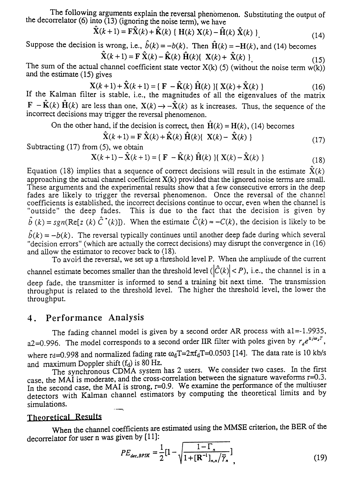The following arguments explain the reversal phenomenon. Substituting the output of the decorrelator (6) into  $(13)$  (ignoring the noise term), we have

$$
\hat{\mathbf{X}}(k+1) = \mathbf{F}\hat{\mathbf{X}}(k) + \hat{\mathbf{K}}(k) \{ \mathbf{H}(k) \mathbf{X}(k) - \hat{\mathbf{H}}(k) \hat{\mathbf{X}}(k) \}
$$
\n(14)

Suppose the decision is wrong, i.e.,  $\hat{b}(k) = -b(k)$ . Then  $\hat{H}(k) = -H(k)$ , and (14) becomes

$$
\mathbf{X}(k+1) = \mathbf{F}\ \mathbf{X}(k) - \mathbf{K}(k)\ \mathbf{H}(k)\{\ \mathbf{X}(k) + \ \mathbf{X}(k)\ \} \tag{15}
$$

The sum of the actual channel coefficient state vector  $X(k)$  (5) (without the noise term  $w(k)$ ) and the estimate (15) gives

$$
\mathbf{X}(k+1) + \mathbf{\hat{X}}(k+1) = \{ \mathbf{F} - \mathbf{\hat{K}}(k) \mathbf{\hat{H}}(k) \} \{ \mathbf{X}(k) + \mathbf{\hat{X}}(k) \}
$$
(16)

If the Kalman filter is stable, i.e., the magnitudes of all the eigenvalues of the matrix  $\mathbf{F} - \hat{\mathbf{K}}(k) \hat{\mathbf{H}}(k)$  are less than one,  $\mathbf{X}(k) \rightarrow -\hat{\mathbf{X}}(k)$  as k increases. Thus, the sequence of the incorrect decisions may trigger the reversal phenomenon.

On the other hand, if the decision is correct, then  $\hat{H}(k) = H(k)$ , (14) becomes

$$
\hat{\mathbf{X}}(k+1) = \mathbf{F} \; \hat{\mathbf{X}}(k) + \hat{\mathbf{K}}(k) \; \hat{\mathbf{H}}(k) \{ \mathbf{X}(k) - \hat{\mathbf{X}}(k) \}
$$
\n(17)

Subtracting (17) from (5), we obtain

$$
\mathbf{X}(k+1) - \hat{\mathbf{X}}(k+1) = \{ \ \mathbf{F} \ -\hat{\mathbf{K}}(k) \ \hat{\mathbf{H}}(k) \ \} \{ \ \mathbf{X}(k) - \hat{\mathbf{X}}(k) \ \}
$$
 (18)

Equation (18) implies that a sequence of correct decisions will result in the estimate  $\hat{X}(k)$ approaching the actual channel coefficient  $X(k)$  provided that the ignored noise terms are small. These arguments and the experimental results show that a few consecutive errors in the deep fades are likely to trigger the reversal phenomenon. Once the reversal of the channel coefficients is established, the incorrect decisions continue to occur, even when the channel is "outside" the deep fades. This is due to the fact that the decision is given by  $\hat{b}(k) = sgn(\text{Re}[z(k)]\hat{C}^*(k))$ . When the estimate  $\hat{C}(k) \approx -C(k)$ , the decision is likely to be  $\hat{b}(k) = -b(k)$ . The reversal typically continues until another deep fade during which several

"decision errors" (which are actually the correct decisions) may disrupt the convergence in (16) and allow the estimator to recover back to (18).

To avoid the reversal, we set up a threshold level P. When the amplitude of the current channel estimate becomes smaller than the threshold level  $(|\hat{C}(k)| < P)$ , i.e., the channel is in a deep fade, the transmitter is informed to send a training bit next time. The transmission throughput is related to the threshold level. The higher the threshold level, the lower the throughput.

#### 4. Performance Analysis

The fading channel model is given by a second order AR process with a1=-1.9935, a2=0.996. The model corresponds to a second order IIR filter with poles given by  $r_{d}e^{\pm j\omega_{d}T}$ , where rd=0.998 and normalized fading rate  $\omega_dT=2\pi f_dT=0.0503$  [14]. The data rate is 10 kb/s and maximum Doppler shift  $(f_d)$  is 80 Hz.

The synchronous CDMA system has 2 users. We consider two cases. In the first case, the MAI is moderate, and the cross-correlation between the signature waveforms r=0.3. In the second case, the MAI is strong,  $r=0.9$ . We examine the performance of the multiuser detectors with Kalman channel estimators by computing the theoretical limits and by simulations.

#### Theoretjcal Results

When the channel coefficients are estimated using the MMSE criterion, the BER of the decorrelator for user n was given by [11]:

$$
PE_{dec,BPSK} = \frac{1}{2} [1 - \sqrt{\frac{1 - \Gamma_n}{1 + [\mathbf{R}^{-1}]_{n,n} / \overline{\gamma}_n}} ]
$$
(19)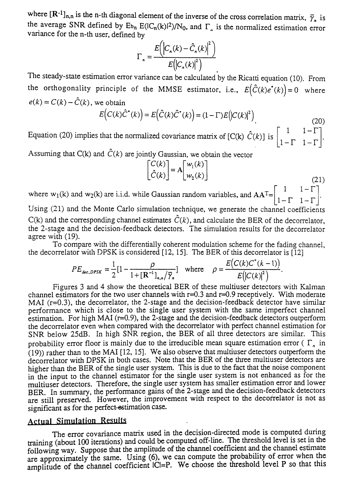where  $[\mathbf{R}^{-1}]_{n,n}$  is the n-th diagonal element of the inverse of the cross correlation matrix,  $\overline{\gamma}_n$  is the average SNR defined by  $E_{b_n} E(|C_n(k)|^2)/N_0$ , and  $\Gamma_n$  is the normalized estimation error variance for the n-th user, defined by

$$
\Gamma_n = \frac{E\left(\left|C_n(k) - \hat{C}_n(k)\right|^2\right)}{E\left(\left|C_n(k)\right|^2\right)}
$$

The steady-state estimation error variance can be calculated 'by the Ricatti equation (10). From the orthogonality principle of the MMSE estimator, i.e.,  $E(\hat{C}(k)e^{i}(k)) = 0$  where  $e(k) = C(k) - \hat{C}(k)$ , we obtain

$$
E(C(k)\hat{C}^*(k)) = E(\hat{C}(k)\hat{C}^*(k)) = (1 - \Gamma)E(|C(k)|^2)
$$
\n(20)

Equation (20) implies that the normalized covariance matrix of [C(k)  $\hat{C}(k)$ ] is  $\begin{bmatrix} 1 & 1-\Gamma \\ 1-\Gamma & 1-\Gamma \end{bmatrix}$  $1-\Gamma$   $1-\Gamma$ 

Assuming that C(k) and  $\hat{C}(k)$  are jointly Gaussian, we obtain the vector

$$
\begin{bmatrix} C(k) \\ \hat{C}(k) \end{bmatrix} = A \begin{bmatrix} w_1(k) \\ w_2(k) \end{bmatrix}
$$

(21)

where  $w_1(k)$  and  $w_2(k)$  are i.i.d. while Gaussian random variables, and  $AA^T = \begin{bmatrix} 1 & 1-\Gamma \\ 1-\Gamma & 1-\Gamma \end{bmatrix}$ . Using (21) and the Monte Carlo simulation technique, we generate the channel coefficients

 $C(k)$  and the corresponding channel estimates  $\hat{C}(k)$ , and calculate the BER of the decorrelator, the 2-stage and the decision-feedback detectors. The simulation results for the decorrelator agree with (19).

To compare with the differentially coherent modulation scheme for the fading channel, the decorrelator with DPSK is considered [12, 15]. The BER of this decorrelator is [12]

$$
PE_{dec,DPSK} = \frac{1}{2} [1 - \frac{\rho}{1 + [R^{-1}]_{n,n} / \overline{\gamma}_n}] \text{ where } \rho = \frac{E(C(k)C^{\bullet}(k-1))}{E(|C(k)|^2)}
$$

Figures 3 and 4 show the theoretical BER of these multiuser detectors with Kalman channel estimators for the two user channels with  $r=0.3$  and  $r=0.9$  receptively. With moderate MAI  $(r=0.3)$ , the decorrelator, the 2-stage and the decision-feedback detector have similar performance which is close to the single user system with the same imperfect channel estimation. For high MAI ( $r=0.9$ ), the 2-stage and the decision-feedback detectors outperform the decorrelator even when compared with the decorrelator with perfect channel estimation for SNR below 25dB. In high SNR region, the BER of all three detectors are similar. This probability error floor is mainly due to the irreducible mean square estimation error ( $\Gamma_n$  in (19)) rather than to the MAl [12, 15]. We also observe that multiuser detectors outperform the decorrelator with DPSK in both cases. Note that the BER of the three multiuser detectors are higher than the BER of the single user system. This is due to the fact that the noise component in the input to the channel estimator for the single user system is not enhanced as for the multiuser detectors. Therefore, the single user system has smaller estimation error and lower BER. In summary, the performance gains of the 2-stage and the decision-feedback detectors are still preserved. However, the improvement with respect to the decorrelator is not as significant as for the perfect-estimation case.

### **Actual Simulation Results**

The error covariance matrix used in the decision-directed mode is computed during training (about 100 iterations) and could be computed off-line. The threshold level is set in the following way. Suppose that the amplitude of the channel coefficient and the channel estimate are approximately the same. Using (6), we can compute the probability of error when the amplitude of the channel coefficient ICI=P. We choose the threshold level P so that this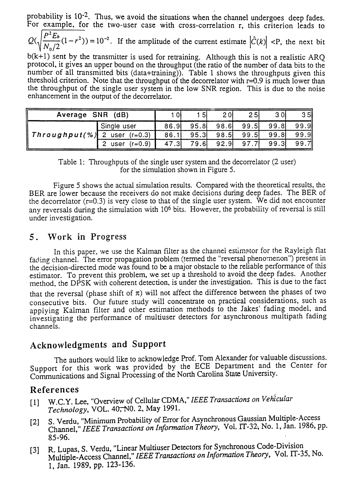probability is  $10^{-2}$ . Thus, we avoid the situations when the channel undergoes deep fades. For example, for the two-user case with cross-correlation r, this criterion leads to

probability is 10<sup>-2</sup>. Thus, we avoid the situations when the channel undergoes deep fades.<br>For example, for the two-user case with cross-correlation r, this criterion leads to<br> $Q(\sqrt{\frac{P^2 E_b}{N_0/2}}(1-r^2)) = 10^{-2}$ . If the am

 $b(k+1)$  sent by the transmitter is used for retraining. Although this is not a realistic ARQ protocol, It gives an upper bound on the throughput (the ratio of the number of data bits to the number of all transmitted bits  $(data+training)$ . Table 1 shows the throughputs given this threshold criterion. Note that the throughput of the decorrelator with  $r=0.9$  is much lower than the throughput of the single user system in the low SNR region. This is due to the noise enhancement in the output of the decorrelator.

| Average SNR (dB)               |                |       | 51    | 2 Ol<br><u>.</u> | 25I   | 3 Ol  | 35    |
|--------------------------------|----------------|-------|-------|------------------|-------|-------|-------|
| Throughput(%) 2 user $(r=0.3)$ | Single user    | 86.91 | 95.8  | 98.61            | 99.5  | 99.8  | 99.9  |
|                                |                | 86.1  | 95.31 | 98.51            | 99.5  | 99.81 | 99.9  |
|                                | user $(r=0.9)$ | -.31  | 79.6I | 92.9             | 97.71 | 99.31 | 99.71 |

Table 1: Throughputs of the single user system and the decorrelator (2 user) for the simulation shown in Figure 5.

Figure 5 shows the actual simulation results. Compared with the theoretical results, the BER are lower because the receivers do not make decisions during deep fades. The BER of the decorrelator ( $r=0.3$ ) is very close to that of the single user system. We did not encounter any reversals during the simulation with 106 bits. However, the probability of reversal is still under investigation.

### 5 . Work in Progress

In this paper, we use the Kalman filter as the channel estimator for the Rayleigh flat fading channel. The error propagation problem (termed the "reversal phenomenon") present in the decision-directed mode was found to be a major obstacle to the reliable performance of this estimator. To prevent this problem, we set up a threshold to avoid the deep fades. Another method, the DPSK with coherent detection, is under the investigation. This is due to the fact that the reversal (phase shift of  $\pi$ ) will not affect the difference between the phases of two consecutive bits. Our future study will concentrate on practical considerations, such as applying Kalman filter and other estimation methods to the Jakes' fading model, and investigating the performance of multiuser detectors for asynchronous multipath fading channels.

## Acknowledgments and Support

The authors would like to acknowledge Prof. Tom Alexander for valuable discussions. Support for this work was provided by the ECE Department and the Center for Communications and Signal Processing of the North Carolina State University.

## References

- [1] W.c.Y. Lee, "Overview of Cellular CDMA," *IEEETransactions on Vehicular* Technology, VOL. 40<del>, N</del>0. 2, May 1991.
- [2] S. Verdu, "Minimum Probability of Error for Asynchronous Gaussian Multiple-Access Channel," *IEEE Transactions on Information Theory,* Vol. IT-32; No.1, Jan. 1986, pp. 85-96.
- [3] R. Lupas, S. Verdu, "Linear Multiuser Detectors for Synchronous Code-Division Multiple-Access Channel," *IEEETransactions on Information Theory,* Vol. IT-35, No. 1, Jan. 1989, pp. 123-136.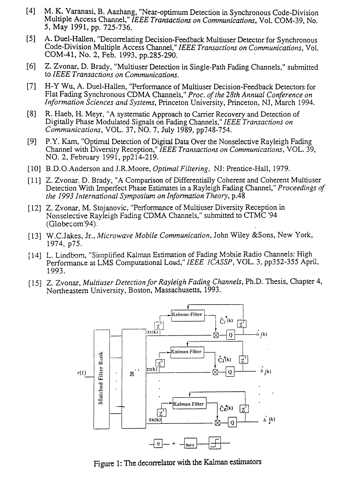- [4] M. K. Varanasi, B. Aazhang, "Near-optimum Detection in Synchronous Code-Division Multiple Access Channel," *IEEE Transactions on Communications,* Vol. COM-39, No. 5, May 1991, pp. 725-736.
- [5] A. Duel-Hallen, "Decorrelating Decision-Feedback Multiuser Detector for Synchronous Code-Division Multiple Access Channel," *IEEE Transactions on Communications,* Vol. COM-41, No. 2, Feb. 1993, pp.285-290.
- [6] Z. Zvonar, D. Brady, "Multiuser Detection in Single-Path Fading Channels," submitted to *IEEE Transactions on Communications.*
- [7] H-Y Wu, A. Duel-Hallen, "Performance of Multiuser Decision-Feedback Detectors for Flat Fading Synchronous CDMA Channels," Proc. of the 28th Annual Conference on *Information Sciences and Systems,* Princeton University, Princeton, NJ, March 1994.
- [8] R. Haeb, H. Meyr, "A systematic Approach to Carrier Recovery and Detection of Digitally Phase Modulated Signals on Fading Channels," *IEEE Transactions on Communications,* YOL. 37, NO.7, July 1989, pp748-754.
- [9] P.Y. Kam, "Optimal Detection of Digital Data Over the Nonselective Rayleigh Fading Channel with Diversity Reception," *IEEE Transactions on Communications,* VOL. 39, NO.2, February 1991, pp214-219.
- [10] B.D.O.Anderson and J.R.Moore, *Optimal Filtering,* NJ: Prentice-Hall, 1979.
- [11] z. Zvonar, D. Brady, "A Comparison of Differentially Coherent and Coherent Multiuser Detection With Imperfect Phase Estimates in a Rayleigh Fading Channel," *Proceedings of the* 1993 *International Symposium on Information Theory,* p.48
- [12] Z. Zvonar, M. Stojanovic, "Performance of Multiuser Diversity Reception in Nonselective Rayleigh Fading CDMA Channels," submitted to CfMC '94 (Globecom'94).
- [13] W.C.Jakes, Jr., *Microwave Mobile Communication*, John Wiley &Sons, New York, 1974, p75.
- [14] L. Lindbom, "Sirnplified Kalman Estimation of Fading Mobile Radio Channels: High Performance at LMS Computational Load," *IEEE ICASSP,* YOL. 3, pp352-355 April, 1993.
- [15] Z. Zvonar, *Multiuser Detection/or Rayleigh Fading Channels,* Ph.D. Thesis, Chapter 4, Northeastern University, Boston, Massachusetts, 1993.



Figure 1: The decorrelator with the Kalman estimators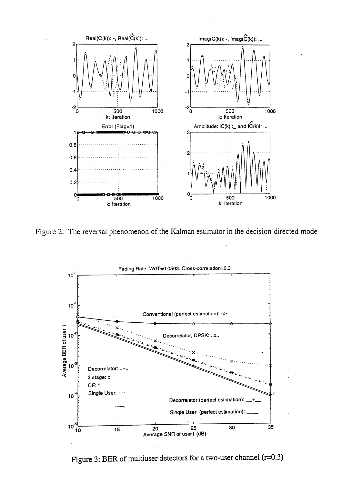

Figure 2: The reversal phenomenon of the Kalman estimator in the decision-directed mode



Figure 3: BER of multiuser detectors for a two-user channel (r=0.3)